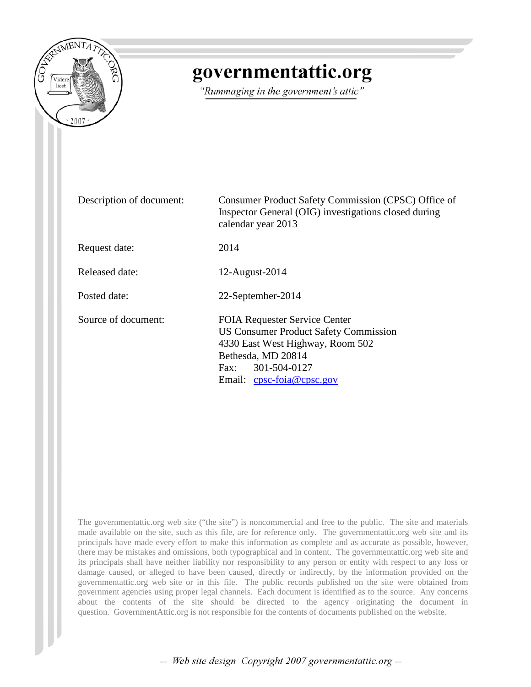

# governmentattic.org

"Rummaging in the government's attic"

| Description of document: | Consumer Product Safety Commission (CPSC) Office of<br>Inspector General (OIG) investigations closed during<br>calendar year 2013                                                                  |
|--------------------------|----------------------------------------------------------------------------------------------------------------------------------------------------------------------------------------------------|
| Request date:            | 2014                                                                                                                                                                                               |
| Released date:           | 12-August-2014                                                                                                                                                                                     |
| Posted date:             | 22-September-2014                                                                                                                                                                                  |
| Source of document:      | <b>FOIA Requester Service Center</b><br><b>US Consumer Product Safety Commission</b><br>4330 East West Highway, Room 502<br>Bethesda, MD 20814<br>Fax: 301-504-0127<br>Email: $cpsc-foia@cpsc.gov$ |

The governmentattic.org web site ("the site") is noncommercial and free to the public. The site and materials made available on the site, such as this file, are for reference only. The governmentattic.org web site and its principals have made every effort to make this information as complete and as accurate as possible, however, there may be mistakes and omissions, both typographical and in content. The governmentattic.org web site and its principals shall have neither liability nor responsibility to any person or entity with respect to any loss or damage caused, or alleged to have been caused, directly or indirectly, by the information provided on the governmentattic.org web site or in this file. The public records published on the site were obtained from government agencies using proper legal channels. Each document is identified as to the source. Any concerns about the contents of the site should be directed to the agency originating the document in question. GovernmentAttic.org is not responsible for the contents of documents published on the website.

-- Web site design Copyright 2007 governmentattic.org --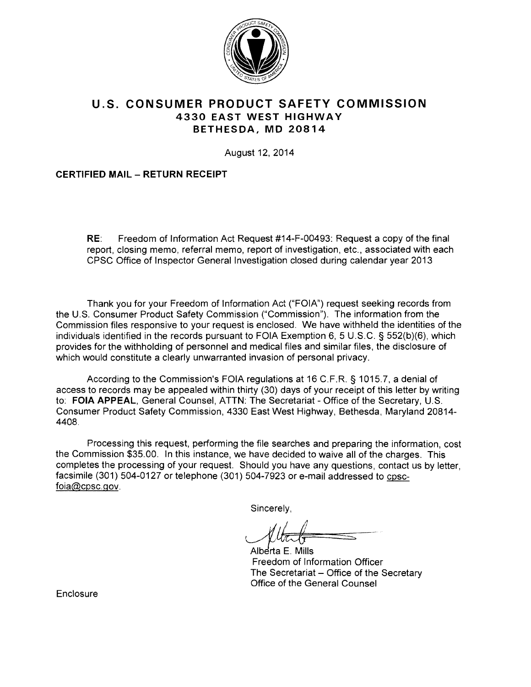

# **U.S. CONSUMER PRODUCT SAFETY COMMISSION 4330 EAST WEST HIGHWAY BETHESDA, MD 20814**

August 12, 2014

# **CERTIFIED MAIL - RETURN RECEIPT**

**RE:** Freedom of Information Act Request #14-F-00493: Request a copy of the final report, closing memo, referral memo, report of investigation, etc., associated with each CPSC Office of Inspector General Investigation closed during calendar year 2013

Thank you for your Freedom of Information Act ("FOIA") request seeking records from the U.S. Consumer Product Safety Commission ("Commission"). The information from the Commission files responsive to your request is enclosed. We have withheld the identities of the individuals identified in the records pursuant to FOIA Exemption 6, 5 U.S.C. § 552(b)(6), which provides for the withholding of personnel and medical files and similar files, the disclosure of which would constitute a clearly unwarranted invasion of personal privacy.

According to the Commission's FOIA regulations at 16 C.F.R. § 1015.7, a denial of access to records may be appealed within thirty (30) days of your receipt of this letter by writing to: **FOIA APPEAL,** General Counsel, ATTN: The Secretariat - Office of the Secretary, U.S. Consumer Product Safety Commission, 4330 East West Highway, Bethesda, Maryland 20814- 4408.

Processing this request, performing the file searches and preparing the information, cost the Commission \$35.00. In this instance, we have decided to waive all of the charges. This completes the processing of your request. Should you have any questions, contact us by letter, facsimile (301) 504-0127 or telephone (301) 504-7923 or e-mail addressed to cpscfoia@cpsc.gov.

Sincerely,

~Ef!:=.·~ ===.::-s--~

Alberta E. Mills Freedom of Information Officer The Secretariat - Office of the Secretary Office of the General Counsel

**Enclosure**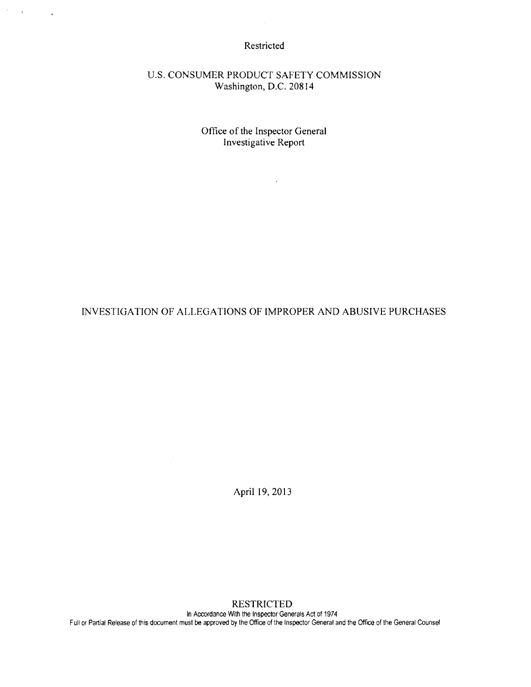Restricted

 $\mathcal{F}=\mathcal{F}(\mathcal{F})$  , where  $\mathcal{F}$ 

U.S. CONSUMER PRODUCT SAFETY COMMISSION Washington, D.C. 20814

> Office of the Inspector General Investigative Report

> > $\sim 10^{11}$  m  $^{-1}$

INVESTIGATION OF ALLEGATIONS OF IMPROPER AND ABUSIVE PURCHASES

April I9, 2013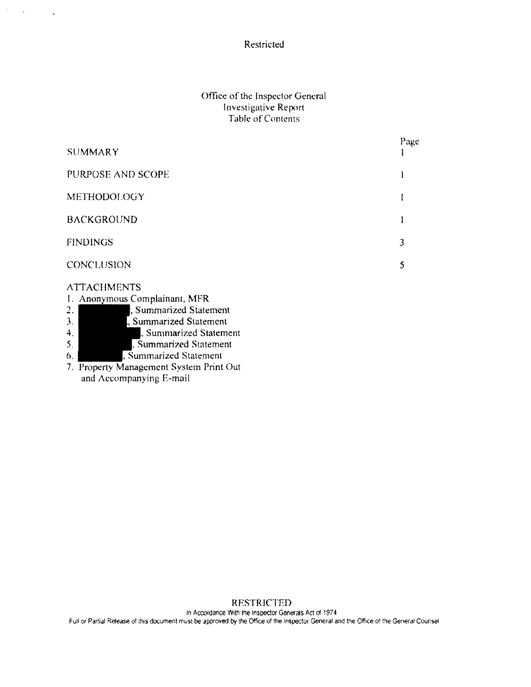Restricted

 $\mathcal{F}^{\mathcal{G}}_{\mathcal{G}}(k)$  and  $\mathcal{G}^{\mathcal{G}}_{\mathcal{G}}(k)$ 

## Office of the Inspector General Investigative Report Table of Contents

| <b>SUMMARY</b>                                                                                                                                                                                                                                                                                  | Page |
|-------------------------------------------------------------------------------------------------------------------------------------------------------------------------------------------------------------------------------------------------------------------------------------------------|------|
| PURPOSE AND SCOPE                                                                                                                                                                                                                                                                               |      |
| <b>METHODOLOGY</b>                                                                                                                                                                                                                                                                              |      |
| <b>BACKGROUND</b>                                                                                                                                                                                                                                                                               |      |
| <b>FINDINGS</b>                                                                                                                                                                                                                                                                                 | 3    |
| CONCLUSION                                                                                                                                                                                                                                                                                      | 5    |
| <b>ATTACHMENTS</b><br>1. Anonymous Complainant, MFR<br>Summarized Statement<br>$\overline{2}$ .<br>3.<br>Summarized Statement<br>Summarized Statement<br>4.<br>5.<br>Summarized Statement<br>, Summarized Statement<br>6.<br>7. Property Management System Print Out<br>and Accompanying E-mail |      |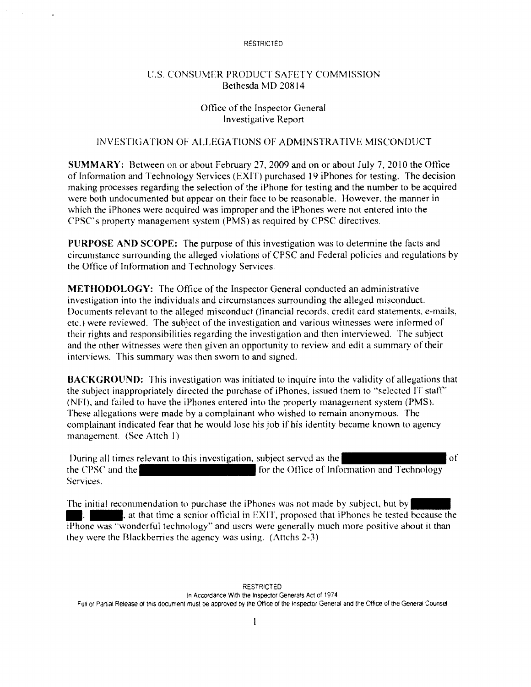## t:.s. CONSUMER PRODUCT SAFETY COMMISSION Bethesda MD 20814

## Office of the Inspector General Investigative Report

## INVESTIGATION OF ALLEGATIONS OF ADMINSTRATIVE MISCONDUCT

**SUMMARY:** Between on or about February 27. 2009 and on or about July 7. 2010 the Office of Information and Technology Services (EXIT) purchased 19 iPhones for testing. The decision making processes regarding the selection of the iPhone for testing and the number to be acquired were both undocumented but appear on their face to be reasonable. However, the manner in which the iPhones were acquired was improper and the iPhones were not entered into the CPSC's property management system (PMS) as required by CPSC directives.

**Pl!RPOSE AND SCOPE:** The purpose of this investigation was to detennine the facts and circumstance surrounding the alleged violations of CPSC and Federal policies and regulations by the Office of Information and Technology Services.

**METHODOLOGY:** The Office of the Inspector General conducted an administrative investigation into the individuals and circumstances surrounding the alleged misconduct. Documents relevant to the alleged misconduct (financial records, credit card statements. e-mails. etc.) were reviewed. The subject of the investigation and various witnesses were informed of their rights and responsibilities regarding the investigation and then interviewed. The subject and the other witnesses were then given an opportunity to review and edit a summary of their interviews. This summary was then sworn to and signed.

**BACKGROUND:** This investigation was initiated to inquire into the validity of allegations that the subject inappropriately directed the purchase of iPhones, issued them to "selected IT staff· (NFI). and failed to have the iPhones entered into the property management system (PMS). These allegations were made by a complainant who wished to remain anonymous. The complainant indicated fear that he would lose his job if his identity became known to agency management. (See Atteh 1)

During all times relevant to this investigation, subject served as the of the CPSC and the form the form of Information and Technology Services.

The initial recommendation to purchase the iPhones was not made by subject, but by  $\blacksquare$ , at that time a senior official in EXIT, proposed that iPhones be tested because the For the initial recommendation to purchase the iPhones was not made by subject, but by  $\blacksquare$ .<br>The initial recommendation to purchase the iPhones was not made by subject, but by  $\blacksquare$ , at that time a senior official in EX they were the Blackberries the agency was using. (At1chs 2-3)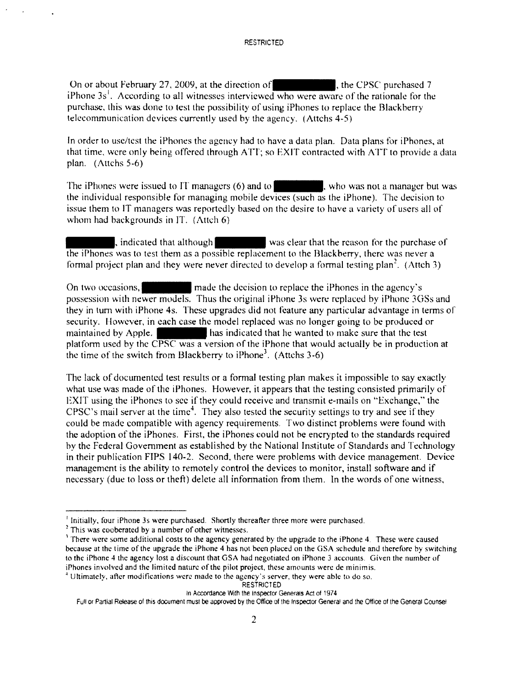On or about February 27, 2009, at the direction of  $\vert$ , the CPSC purchased 7 iPhone  $3s<sup>1</sup>$ . According to all witnesses interviewed who were aware of the rationale for the purchase. this was done to test the possibility of using iPhones to replace the Blackberry telecommunication devices currently used by the agency. (Attchs 4-5)

In order to use/test the iPhones the agency had to have a data plan. Data plans for iPhones, at that time, were only being offered through ATT; so EXIT contracted with ATT to provide a data plan.  $(Attchs 5-6)$ 

plan. (Attchs 5-6)<br>The iPhones were issued to IT managers (6) and to<br>the individual responsible for managing mobile devices (such as the iPhone). The decision to issue them to IT managers was reportedly based on the desire to have a variety of users all of whom had backgrounds in IT.  $(Atch 6)$ 

. indicated that although was clear that the reason for the purchase of the iPhones was to test them as a possible replacement lo the Blackberry, there was never a formal project plan and they were never directed to develop a formal testing plan<sup>2</sup>. (Attch 3)

On two occasions,  $\vert$  made the decision to replace the iPhones in the agency's possession with newer models. Thus the original iPhone 3s were replaced by iPhone 3GSs and they in tum with iPhone 4s. These upgrades did not feature any particular advantage in terms of security. However, in each ease the model replaced was no longer going lo be produced or maintained by Apple. has indicated that he wanted to make sure that the test platform used by the CPSC was a version of the iPhone that would actually be in production at the time of the switch from Blackberry to iPhone<sup>3</sup>. (Attchs 3-6)

The lack of documented test results or a formal testing plan makes it impossible to say exactly what use was made of the iPhones. However, it appears that the testing consisted primarily of EXIT using the iPhoncs to sec if they could receive and tmnsmit e-mails on "Exchange," the CPSC's mail server at the time<sup>4</sup>. They also tested the security settings to try and see if they could be made compatible with agency requirements. Two distinct problems were found with the adoption of the iPhoncs. First, the iPhones could not he encrypted to the standards required by the Federal Government as established by the National Institute of Standards and Technology in their puhlication FIPS 140-2. Second, there were problems with device management. Device management is the ability to remotely control the devices to monitor, install software and if necessary (due to loss or theft) delete all infonnation from them. In the words of one witness,

 $\frac{1}{2}$  Initially, four iPhone 3s were purchased. Shortly thereafter three more were purchased.<br>  $\frac{2}{3}$  This was cooberated by a number of other witnesses.<br>  $\frac{1}{3}$  There were some additional costs to the agency ge because at the time of the upgrade the iPhone 4 has not been phiced on the GSA schedule and therefore by switching to the iPhone 4 the agency lost a discount that GSA had negotiated on iPhone 3 accounts. Given the number of iPhones involved and the limited nature of the pilot project, these amounts were de minimis.

<sup>~</sup>Ultimately, after modifications were made to the agency's server, they were able to do so.

**RESTRICTED** 

In Accordance With the Inspector Generals Act of 1974

Full or Partial Release of this document must be approved by the Office of the Inspector General and the Office of the General Counsel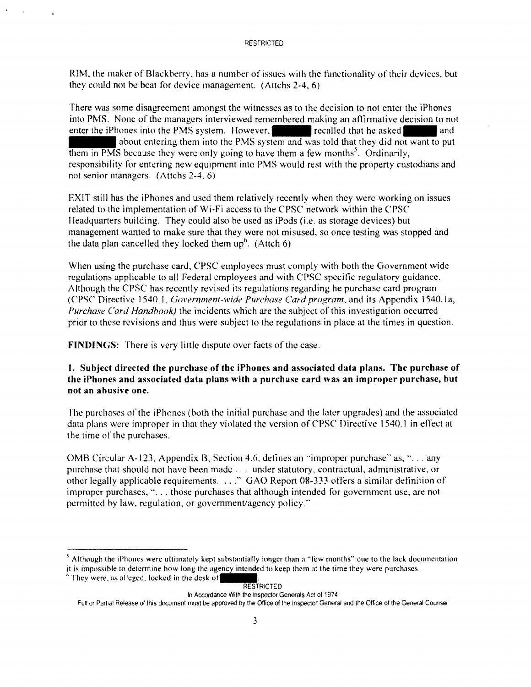RIM, the maker of Blackberry, has a number of issues with the functionality of their devices, but they could not he beat for device management. (Attchs 2-4, 6)

There was some disagreement amongst the witnesses as to the decision to not enter the iPhones into PMS. None of the managers interviewed remembered making an affirmative decision to not enter the iPhones into the PMS system. However, recalled that he asked and about entering them into the PMS system and was told that they did not want to put them in PMS because they were only going to have them a few months<sup>5</sup>. Ordinarily, responsibility for entering new equipment into PMS would rest with the property custodians and not senior managers. (Attchs 2-4. 6)

EXIT still has the iPhones and used them relatively recently when they were working on issues related to the implementation of \Vi-Fi access to the CPSC network within the CPSC Headquarters building. They could also be used as iPods (i.e. as storage devices) but management wanted to make sure that they were not misused, so once testing was stopped and the data plan cancelled they locked them  $up<sup>6</sup>$ . (Attch 6)

When using the purchase card, CPSC employees must comply with both the Government wide regulations applicable to all Federal employees and with CPSC specific regulatory guidance. Although the CPSC has recently revised its regulations regarding he purchase card program (CPSC Directive 1540.1, *Government-wide Purchase Card program*, and its Appendix 1540.1a, *Purchase Card Handbook)* the incidents which are the subject of this investigation occurred prior to these revisions and thus were subject to the regulations in place at the times in question.

**FINDINGS:** There is very little dispute over facts of the case.

## **1. Subject directed the purchase of the iPhones and associated data plans. The purchase of**  the iPhones and associated data plans with a purchase card was an improper purchase, but **not an abusi\'c one.**

The purchases of the iPhones (both the initial purchase and the later upgrades) and the associated data plans were improper in that they violated the version of CPSC Directive 1540.1 in effect at the time of the purchases.

OMB Circular A-123, Appendix B, Section 4.6, defines an "improper purchase" as, "... any purchase that should not have been made ... under statutory. contractual, administrative, or other legally applicable requirements .... " GAO Report 08-333 offers a similar definition of improper purchases, "... those purchases that although intended for government use, are not permitted by law, regulation, or government/agency policy."

#### RESTRICTED

#### In Accordance With the Inspector Generals Act of 1974

Full or Partial Release of this document must be approved by the Office of the Inspector General and the Office of the General Counsel

 $<sup>5</sup>$  Although the iPhones were ultimately kept substantially longer than a "few months" due to the lack documentation</sup> it is impossible to determine how long the agency intended to keep them at the time they were purchases.

 $^6$  They were, as alleged, locked in the desk of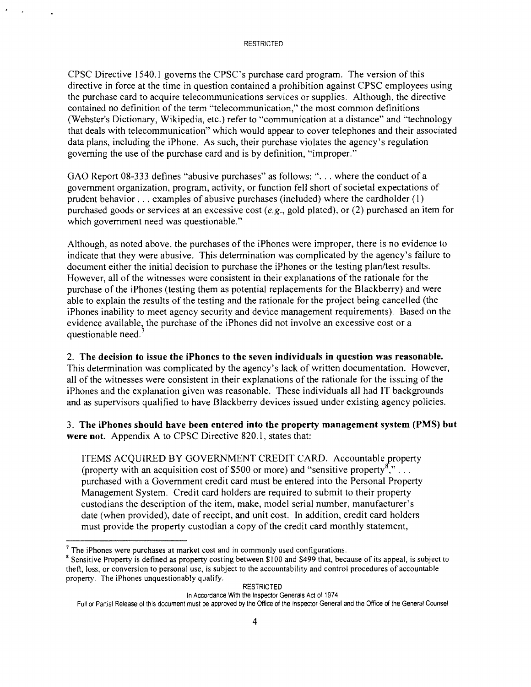CPSC Directive 1540.1 governs the CPSC's purchase card program. The version of this directive in force at the time in question contained a prohibition against CPSC employees using the purchase card to acquire telecommunications services or supplies. Although, the directive contained no definition of the term "telecommunication," the most common definitions (Webster's Dictionary, Wikipedia, etc.) refer to "communication at a distance" and "technology that deals with telecommunication" which would appear to cover telephones and their associated data plans, including the iPhone. As such, their purchase violates the agency's regulation governing the use of the purchase card and is by definition, "improper."

GAO Report 08-333 defines "abusive purchases" as follows: "... where the conduct of a government organization, program, activity, or function fell short of societal expectations of prudent behavior ... examples of abusive purchases (included) where the cardholder ( 1) purchased goods or services at an excessive cost *(e.g.,* gold plated), or (2) purchased an item for which government need was questionable."

Although, as noted above, the purchases of the iPhones were improper, there is no evidence to indicate that they were abusive. This determination was complicated by the agency's failure to document either the initial decision to purchase the iPhones or the testing plan/test results. However, all of the witnesses were consistent in their explanations of the rationale for the purchase of the iPhones (testing them as potential replacements for the Blackberry) and were able to explain the results of the testing and the rationale for the project being cancelled (the iPhones inability to meet agency security and device management requirements). Based on the evidence available, the purchase of the iPhones did not involve an excessive cost or a questionable need.<sup>7</sup>

## 2. **The decision to issue the iPhones to the seven individuals in question was reasonable.**

This determination was complicated by the agency's lack of written documentation. However, all of the witnesses were consistent in their explanations of the rationale for the issuing of the iPhones and the explanation given was reasonable. These individuals all had IT backgrounds and as supervisors qualified to have Blackberry devices issued under existing agency policies.

3. **The iPhones should have been entered into the property management system (PMS) but were not.** Appendix A to CPSC Directive 820.1, states that:

ITEMS ACQUIRED BY GOVERNMENT CREDIT CARD. Accountable property (property with an acquisition cost of \$500 or more) and "sensitive property",  $\ldots$ purchased with a Government credit card must be entered into the Personal Property Management System. Credit card holders are required to submit to their property custodians the description of the item, make, model serial number, manufacturer's date (when provided), date of receipt, and unit cost. In addition, credit card holders must provide the property custodian a copy of the credit card monthly statement,

**RESTRICTED** 

In Accordance With the Inspector Generals Act of 1974

<sup>&</sup>lt;sup>7</sup> The iPhones were purchases at market cost and in commonly used configurations.<br><sup>8</sup> Sensitive Property is defined as property costing between \$100 and \$499 that, because of its appeal, is subject to theft, loss, or conversion to personal use, is subject to the accountability and control procedures of accountable property. The iPhones unquestionably qualify.

Full or Partial Release of this document must be approved by the Office of the Inspector General and the Office of the General Counsel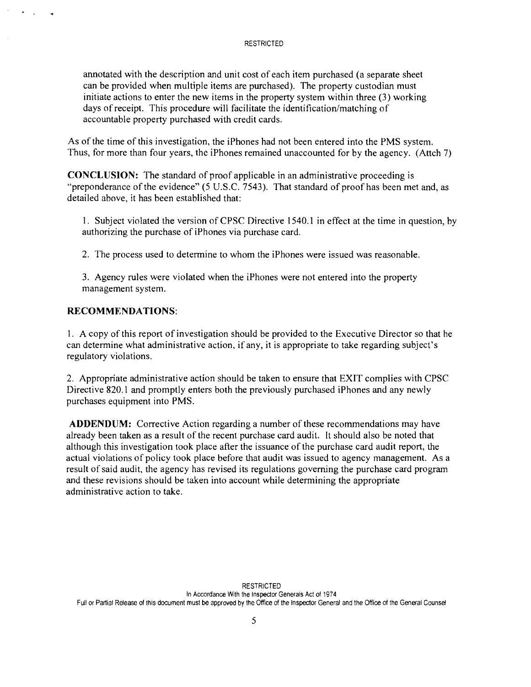annotated with the description and unit cost of each item purchased (a separate sheet can be provided when multiple items are purchased). The property custodian must initiate actions to enter the new items in the property system within three (3) working days of receipt. This procedure will facilitate the identification/matching of accountable property purchased with credit cards.

As of the time of this investigation, the iPhones had not been entered into the PMS system. Thus, for more than four years, the iPhones remained unaccounted for by the agency. (Attch 7)

**CONCLUSION:** The standard of proof applicable in an administrative proceeding is "preponderance of the evidence" (5 U.S.C. 7543). That standard of proof has been met and, as detailed above, it has been established that:

1. Subject violated the version of CPSC Directive 1540.1 in effect at the time in question, by authorizing the purchase of iPhones via purchase card.

2. The process used to determine to whom the iPhones were issued was reasonable.

3. Agency rules were violated when the iPhones were not entered into the property management system.

## **RECOMMENDATIONS:**

 $\mathbf{r}$ 

I. A copy of this report of investigation should be provided to the Executive Director so that he can determine what administrative action, if any, it is appropriate to take regarding subject's regulatory violations.

2. Appropriate administrative action should be taken to ensure that EXIT complies with CPSC Directive 820.1 and promptly enters both the previously purchased iPhones and any newly purchases equipment into PMS.

**ADDENDUM:** Corrective Action regarding a number of these recommendations may have already been taken as a result of the recent purchase card audit. It should also be noted that although this investigation took place after the issuance of the purchase card audit report, the actual violations of policy took place before that audit was issued to agency management. As a result of said audit, the agency has revised its regulations governing the purchase card program and these revisions should be taken into account while determining the appropriate administrative action to take.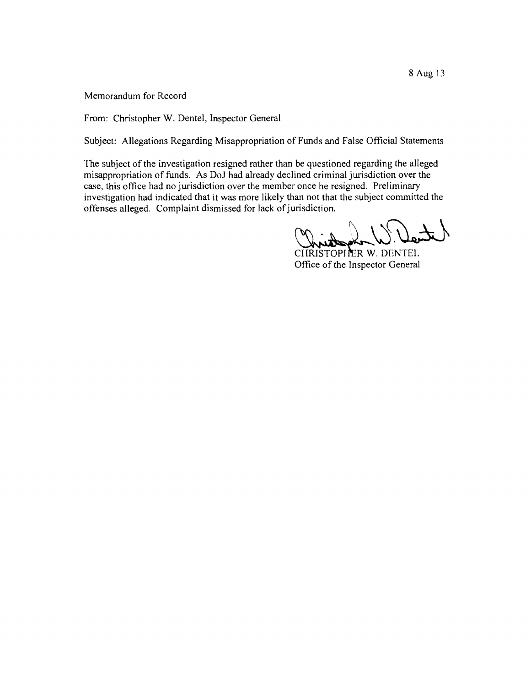From: Christopher W. Dentel, Inspector General

Subject: Allegations Regarding Misappropriation of Funds and False Official Statements

The subject of the investigation resigned rather than be questioned regarding the alleged misappropriation of funds. As DoJ had already declined criminal jurisdiction over the case, this office had no jurisdiction over the member once he resigned. Preliminary investigation had indicated that it was more likely than not that the subject committed the offenses alleged. Complaint dismissed for lack of jurisdiction.

 $\text{Int}_d(f) \subseteq \text{Int}_d$ 

~.DENTEL Office of the Inspector General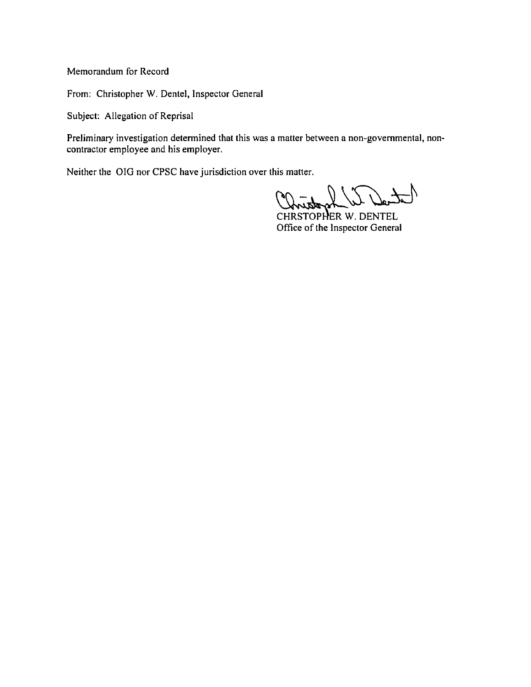From: Christopher W. Dentel, Inspector General

Subject: Allegation of Reprisal

Preliminary investigation determined that this was a matter between a non-governmental, noncontractor employee and his employer.

Neither the OIG nor CPSC have jurisdiction over this matter.

is matter.<br>
CONTRESTOPHER W. DENTEL<br>
Office of the Inspector General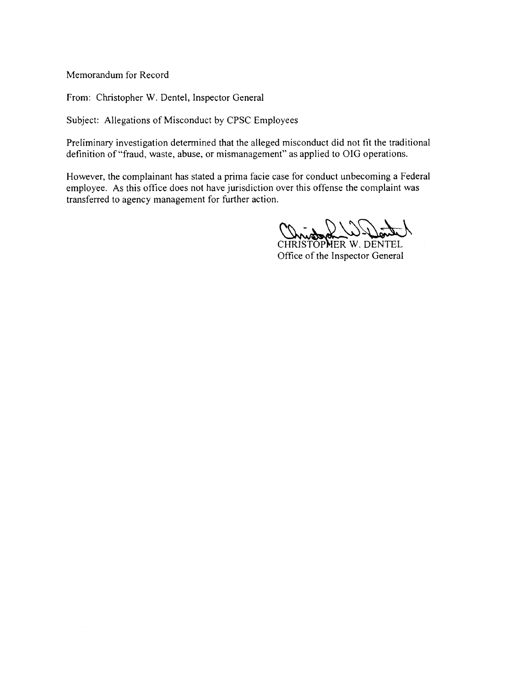From: Christopher W. Dentel, Inspector General

Subject: Allegations of Misconduct by CPSC Employees

Preliminary investigation determined that the alleged misconduct did not fit the traditional definition of "fraud, waste, abuse, or mismanagement" as applied to OIG operations.

However, the complainant has stated a prima facie case for conduct unbecoming a Federal employee. As this office does not have jurisdiction over this offense the complaint was transferred to agency management for further action.

CONTROL WALL

Office of the Inspector General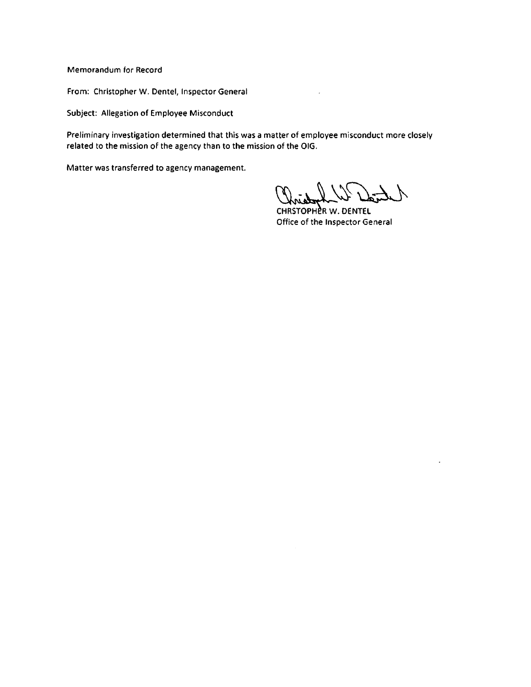From: Christopher W. Dentel, Inspector General

Subject: Allegation of Employee Misconduct

Preliminary investigation determined that this was a matter of employee misconduct more closely related to the mission of the agency than to the mission of the OIG.

Matter was transferred to agency management.

Christophe W. Dente

 $\overline{\phantom{a}}$